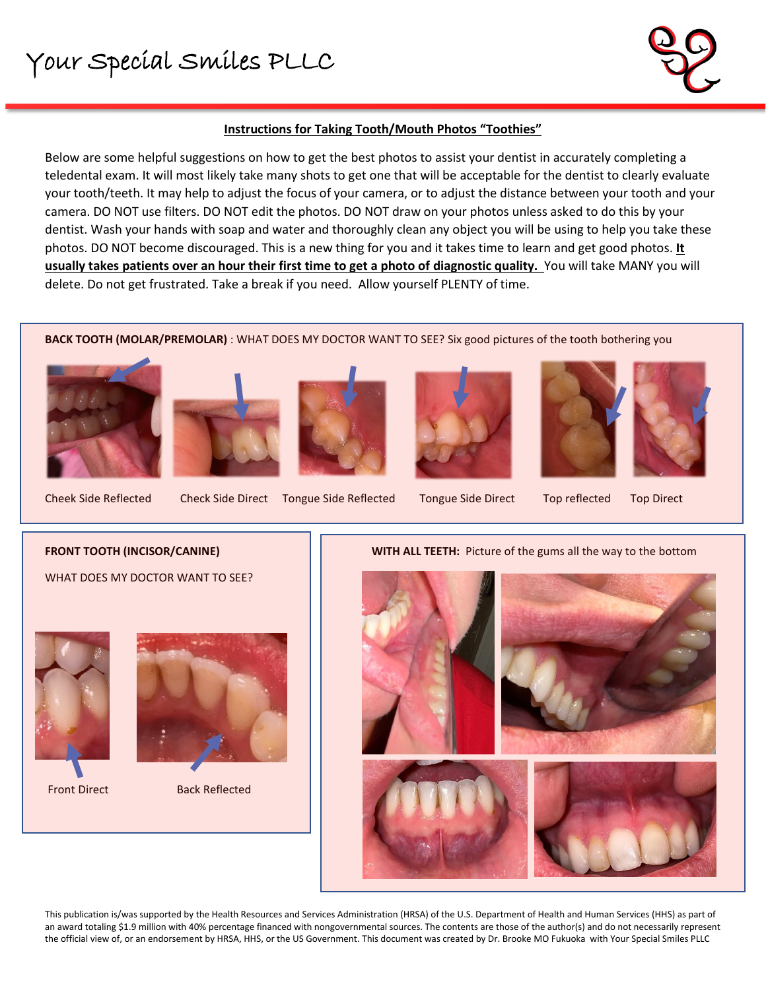# Your Special Smiles PLLC



# **Instructions for Taking Tooth/Mouth Photos "Toothies"**

Below are some helpful suggestions on how to get the best photos to assist your dentist in accurately completing a teledental exam. It will most likely take many shots to get one that will be acceptable for the dentist to clearly evaluate your tooth/teeth. It may help to adjust the focus of your camera, or to adjust the distance between your tooth and your camera. DO NOT use filters. DO NOT edit the photos. DO NOT draw on your photos unless asked to do this by your dentist. Wash your hands with soap and water and thoroughly clean any object you will be using to help you take these photos. DO NOT become discouraged. This is a new thing for you and it takes time to learn and get good photos. **It usually takes patients over an hour their first time to get a photo of diagnostic quality.** You will take MANY you will delete. Do not get frustrated. Take a break if you need. Allow yourself PLENTY of time.

**BACK TOOTH (MOLAR/PREMOLAR)** : WHAT DOES MY DOCTOR WANT TO SEE? Six good pictures of the tooth bothering you



l











Cheek Side Reflected Check Side Direct Tongue Side Reflected Tongue Side Direct Top reflected Top Direct

#### **FRONT TOOTH (INCISOR/CANINE)**

WHAT DOES MY DOCTOR WANT TO SEE?





Front Direct Back Reflected

## **WITH ALL TEETH:** Picture of the gums all the way to the bottom



This publication is/was supported by the Health Resources and Services Administration (HRSA) of the U.S. Department of Health and Human Services (HHS) as part of an award totaling \$1.9 million with 40% percentage financed with nongovernmental sources. The contents are those of the author(s) and do not necessarily represent the official view of, or an endorsement by HRSA, HHS, or the US Government. This document was created by Dr. Brooke MO Fukuoka with Your Special Smiles PLLC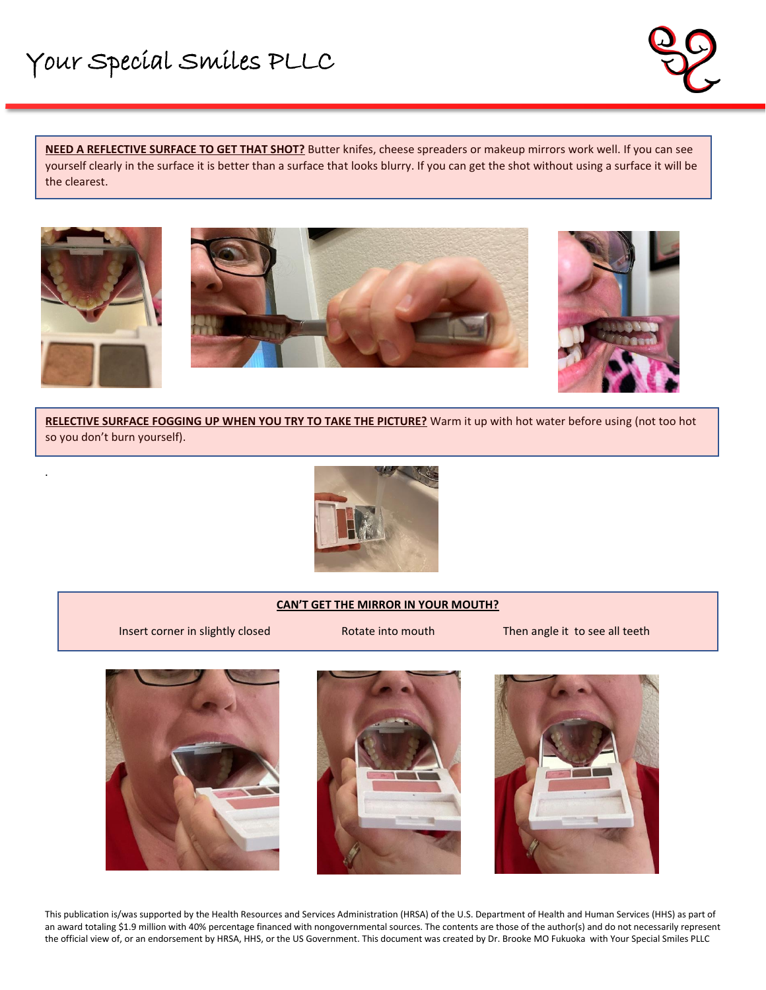

**NEED A REFLECTIVE SURFACE TO GET THAT SHOT?** Butter knifes, cheese spreaders or makeup mirrors work well. If you can see yourself clearly in the surface it is better than a surface that looks blurry. If you can get the shot without using a surface it will be the clearest.



l

.





**RELECTIVE SURFACE FOGGING UP WHEN YOU TRY TO TAKE THE PICTURE?** Warm it up with hot water before using (not too hot so you don't burn yourself).



### **CAN'T GET THE MIRROR IN YOUR MOUTH?**

Insert corner in slightly closed **Rotate into mouth** Then angle it to see all teeth







This publication is/was supported by the Health Resources and Services Administration (HRSA) of the U.S. Department of Health and Human Services (HHS) as part of an award totaling \$1.9 million with 40% percentage financed with nongovernmental sources. The contents are those of the author(s) and do not necessarily represent the official view of, or an endorsement by HRSA, HHS, or the US Government. This document was created by Dr. Brooke MO Fukuoka with Your Special Smiles PLLC